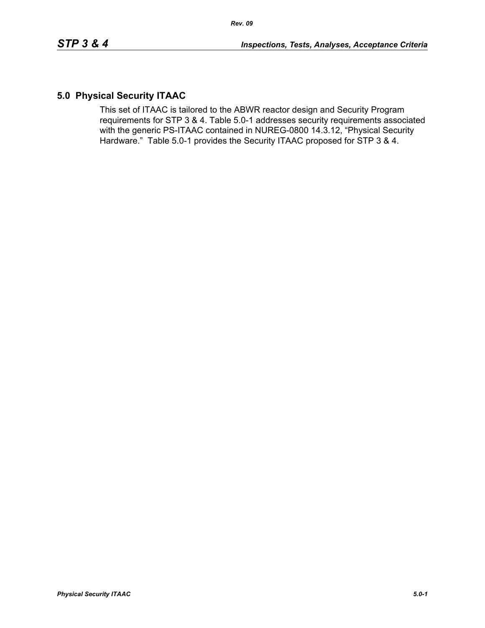# **5.0 Physical Security ITAAC**

This set of ITAAC is tailored to the ABWR reactor design and Security Program requirements for STP 3 & 4. Table 5.0-1 addresses security requirements associated with the generic PS-ITAAC contained in NUREG-0800 14.3.12, "Physical Security Hardware." Table 5.0-1 provides the Security ITAAC proposed for STP 3 & 4.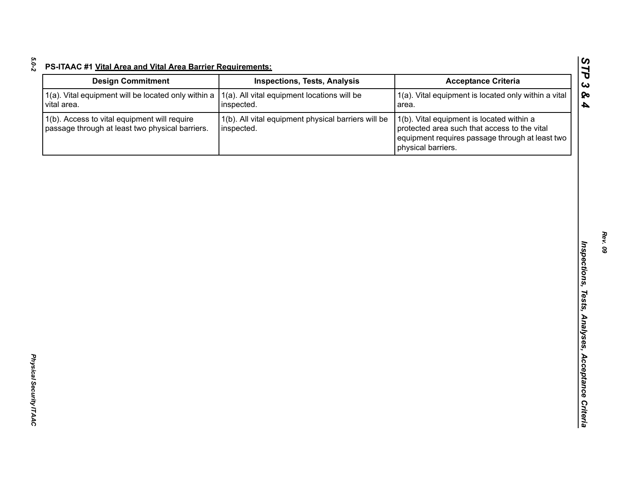| <b>Design Commitment</b>                                                                        | <b>Inspections, Tests, Analysis</b>                               | <b>Acceptance Criteria</b>                                                                                                                                         |
|-------------------------------------------------------------------------------------------------|-------------------------------------------------------------------|--------------------------------------------------------------------------------------------------------------------------------------------------------------------|
| 1(a). Vital equipment will be located only within a<br>vital area.                              | 1(a). All vital equipment locations will be<br>inspected.         | 1(a). Vital equipment is located only within a vital<br>area.                                                                                                      |
| 1(b). Access to vital equipment will require<br>passage through at least two physical barriers. | 1(b). All vital equipment physical barriers will be<br>inspected. | 1(b). Vital equipment is located within a<br>protected area such that access to the vital<br>equipment requires passage through at least two<br>physical barriers. |
|                                                                                                 |                                                                   |                                                                                                                                                                    |
|                                                                                                 |                                                                   |                                                                                                                                                                    |
|                                                                                                 |                                                                   |                                                                                                                                                                    |
|                                                                                                 |                                                                   |                                                                                                                                                                    |
|                                                                                                 |                                                                   |                                                                                                                                                                    |
|                                                                                                 |                                                                   |                                                                                                                                                                    |
|                                                                                                 |                                                                   |                                                                                                                                                                    |
|                                                                                                 |                                                                   |                                                                                                                                                                    |
|                                                                                                 |                                                                   |                                                                                                                                                                    |
|                                                                                                 |                                                                   |                                                                                                                                                                    |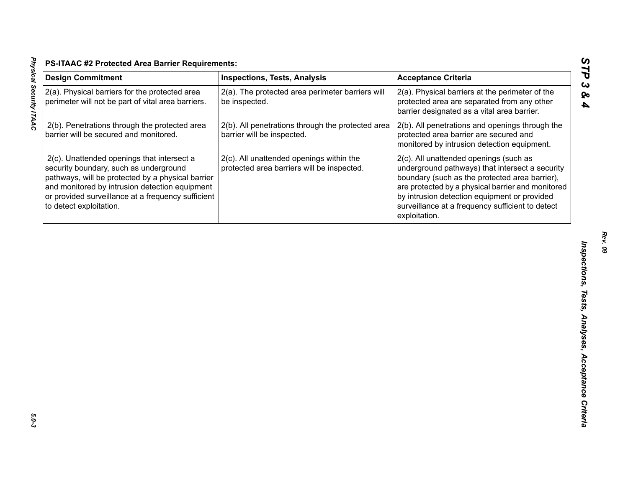| <b>Design Commitment</b>                                                                                                                                                                                                                                                     | <b>Inspections, Tests, Analysis</b>                                                    | <b>Acceptance Criteria</b>                                                                                                                                                                                                                                                                                            |
|------------------------------------------------------------------------------------------------------------------------------------------------------------------------------------------------------------------------------------------------------------------------------|----------------------------------------------------------------------------------------|-----------------------------------------------------------------------------------------------------------------------------------------------------------------------------------------------------------------------------------------------------------------------------------------------------------------------|
| 2(a). Physical barriers for the protected area<br>perimeter will not be part of vital area barriers.                                                                                                                                                                         | 2(a). The protected area perimeter barriers will<br>be inspected.                      | 2(a). Physical barriers at the perimeter of the<br>protected area are separated from any other<br>barrier designated as a vital area barrier.                                                                                                                                                                         |
| 2(b). Penetrations through the protected area<br>barrier will be secured and monitored.                                                                                                                                                                                      | 2(b). All penetrations through the protected area<br>barrier will be inspected.        | 2(b). All penetrations and openings through the<br>protected area barrier are secured and<br>monitored by intrusion detection equipment.                                                                                                                                                                              |
| 2(c). Unattended openings that intersect a<br>security boundary, such as underground<br>pathways, will be protected by a physical barrier<br>and monitored by intrusion detection equipment<br>or provided surveillance at a frequency sufficient<br>to detect exploitation. | 2(c). All unattended openings within the<br>protected area barriers will be inspected. | 2(c). All unattended openings (such as<br>underground pathways) that intersect a security<br>boundary (such as the protected area barrier),<br>are protected by a physical barrier and monitored<br>by intrusion detection equipment or provided<br>surveillance at a frequency sufficient to detect<br>exploitation. |
|                                                                                                                                                                                                                                                                              |                                                                                        |                                                                                                                                                                                                                                                                                                                       |
|                                                                                                                                                                                                                                                                              |                                                                                        |                                                                                                                                                                                                                                                                                                                       |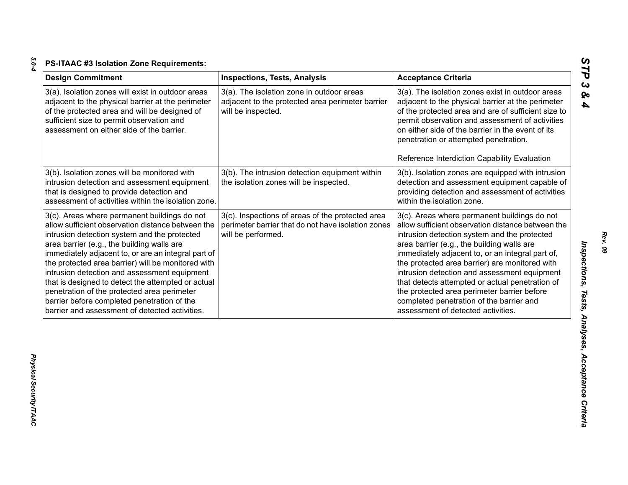| ×       |  |
|---------|--|
| ×<br>۰. |  |
|         |  |

| <b>Design Commitment</b>                                                                                                                                                                                                                                                                                                                                                                                                                                                                                                                                           | <b>Inspections, Tests, Analysis</b>                                                                                          | <b>Acceptance Criteria</b>                                                                                                                                                                                                                                                                                                                                                                                                                                                                                                                |
|--------------------------------------------------------------------------------------------------------------------------------------------------------------------------------------------------------------------------------------------------------------------------------------------------------------------------------------------------------------------------------------------------------------------------------------------------------------------------------------------------------------------------------------------------------------------|------------------------------------------------------------------------------------------------------------------------------|-------------------------------------------------------------------------------------------------------------------------------------------------------------------------------------------------------------------------------------------------------------------------------------------------------------------------------------------------------------------------------------------------------------------------------------------------------------------------------------------------------------------------------------------|
| 3(a). Isolation zones will exist in outdoor areas<br>adjacent to the physical barrier at the perimeter<br>of the protected area and will be designed of<br>sufficient size to permit observation and<br>assessment on either side of the barrier.                                                                                                                                                                                                                                                                                                                  | 3(a). The isolation zone in outdoor areas<br>adjacent to the protected area perimeter barrier<br>will be inspected.          | 3(a). The isolation zones exist in outdoor areas<br>adjacent to the physical barrier at the perimeter<br>of the protected area and are of sufficient size to<br>permit observation and assessment of activities<br>on either side of the barrier in the event of its<br>penetration or attempted penetration.                                                                                                                                                                                                                             |
|                                                                                                                                                                                                                                                                                                                                                                                                                                                                                                                                                                    |                                                                                                                              | Reference Interdiction Capability Evaluation                                                                                                                                                                                                                                                                                                                                                                                                                                                                                              |
| 3(b). Isolation zones will be monitored with<br>intrusion detection and assessment equipment<br>that is designed to provide detection and<br>assessment of activities within the isolation zone.                                                                                                                                                                                                                                                                                                                                                                   | 3(b). The intrusion detection equipment within<br>the isolation zones will be inspected.                                     | 3(b). Isolation zones are equipped with intrusion<br>detection and assessment equipment capable of<br>providing detection and assessment of activities<br>within the isolation zone.                                                                                                                                                                                                                                                                                                                                                      |
| 3(c). Areas where permanent buildings do not<br>allow sufficient observation distance between the<br>intrusion detection system and the protected<br>area barrier (e.g., the building walls are<br>immediately adjacent to, or are an integral part of<br>the protected area barrier) will be monitored with<br>intrusion detection and assessment equipment<br>that is designed to detect the attempted or actual<br>penetration of the protected area perimeter<br>barrier before completed penetration of the<br>barrier and assessment of detected activities. | 3(c). Inspections of areas of the protected area<br>perimeter barrier that do not have isolation zones<br>will be performed. | 3(c). Areas where permanent buildings do not<br>allow sufficient observation distance between the<br>intrusion detection system and the protected<br>area barrier (e.g., the building walls are<br>immediately adjacent to, or an integral part of,<br>the protected area barrier) are monitored with<br>intrusion detection and assessment equipment<br>that detects attempted or actual penetration of<br>the protected area perimeter barrier before<br>completed penetration of the barrier and<br>assessment of detected activities. |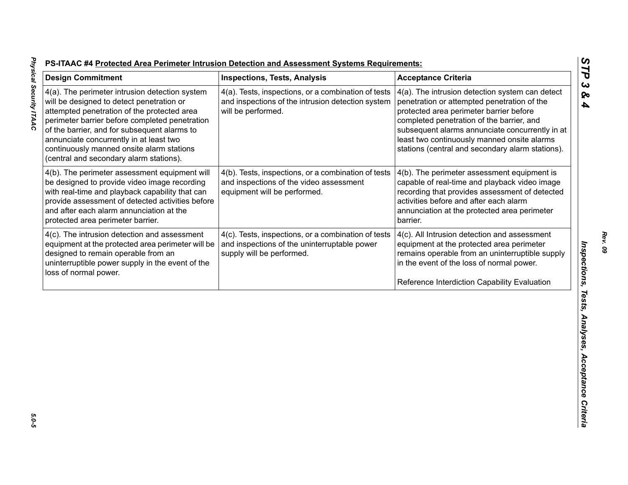| 4(a). The perimeter intrusion detection system<br>will be designed to detect penetration or                                                                                                                                                                                           |                                                                                                                                  | <b>Acceptance Criteria</b>                                                                                                                                                                                                                                                                                                                   |
|---------------------------------------------------------------------------------------------------------------------------------------------------------------------------------------------------------------------------------------------------------------------------------------|----------------------------------------------------------------------------------------------------------------------------------|----------------------------------------------------------------------------------------------------------------------------------------------------------------------------------------------------------------------------------------------------------------------------------------------------------------------------------------------|
| attempted penetration of the protected area<br>perimeter barrier before completed penetration<br>of the barrier, and for subsequent alarms to<br>annunciate concurrently in at least two<br>continuously manned onsite alarm stations<br>(central and secondary alarm stations).      | 4(a). Tests, inspections, or a combination of tests<br>and inspections of the intrusion detection system<br>will be performed.   | 4(a). The intrusion detection system can detect<br>penetration or attempted penetration of the<br>protected area perimeter barrier before<br>completed penetration of the barrier, and<br>subsequent alarms annunciate concurrently in at<br>least two continuously manned onsite alarms<br>stations (central and secondary alarm stations). |
| 4(b). The perimeter assessment equipment will<br>be designed to provide video image recording<br>with real-time and playback capability that can<br>provide assessment of detected activities before<br>and after each alarm annunciation at the<br>protected area perimeter barrier. | 4(b). Tests, inspections, or a combination of tests<br>and inspections of the video assessment<br>equipment will be performed.   | 4(b). The perimeter assessment equipment is<br>capable of real-time and playback video image<br>recording that provides assessment of detected<br>activities before and after each alarm<br>annunciation at the protected area perimeter<br>barrier.                                                                                         |
| 4(c). The intrusion detection and assessment<br>equipment at the protected area perimeter will be<br>designed to remain operable from an<br>uninterruptible power supply in the event of the<br>loss of normal power.                                                                 | 4(c). Tests, inspections, or a combination of tests<br>and inspections of the uninterruptable power<br>supply will be performed. | 4(c). All Intrusion detection and assessment<br>equipment at the protected area perimeter<br>remains operable from an uninterruptible supply<br>in the event of the loss of normal power.<br>Reference Interdiction Capability Evaluation                                                                                                    |

5.0-5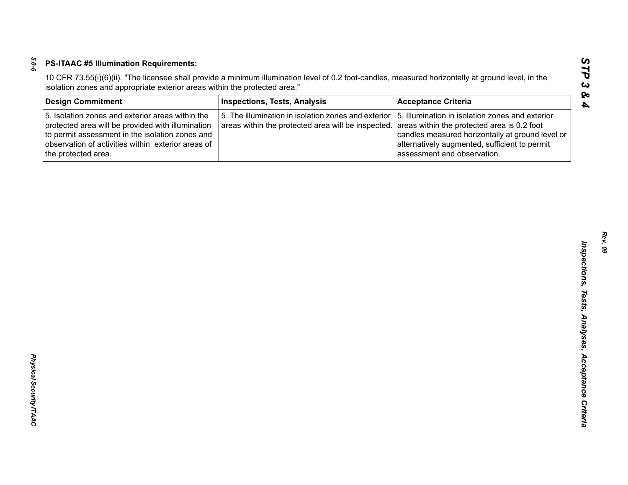| <b>Design Commitment</b>                                                                                                                                                                                                              | <b>Inspections, Tests, Analysis</b>                                                                       | <b>Acceptance Criteria</b>                                                                                                                                                                                                         |
|---------------------------------------------------------------------------------------------------------------------------------------------------------------------------------------------------------------------------------------|-----------------------------------------------------------------------------------------------------------|------------------------------------------------------------------------------------------------------------------------------------------------------------------------------------------------------------------------------------|
| 5. Isolation zones and exterior areas within the<br>protected area will be provided with illumination<br>to permit assessment in the isolation zones and<br>observation of activities within exterior areas of<br>the protected area. | 5. The illumination in isolation zones and exterior<br>areas within the protected area will be inspected. | 5. Illumination in isolation zones and exterior<br>areas within the protected area is 0.2 foot<br>candles measured horizontally at ground level or<br>alternatively augmented, sufficient to permit<br>assessment and observation. |
|                                                                                                                                                                                                                                       |                                                                                                           |                                                                                                                                                                                                                                    |
|                                                                                                                                                                                                                                       |                                                                                                           |                                                                                                                                                                                                                                    |
|                                                                                                                                                                                                                                       |                                                                                                           |                                                                                                                                                                                                                                    |
|                                                                                                                                                                                                                                       |                                                                                                           |                                                                                                                                                                                                                                    |
|                                                                                                                                                                                                                                       |                                                                                                           |                                                                                                                                                                                                                                    |
|                                                                                                                                                                                                                                       |                                                                                                           |                                                                                                                                                                                                                                    |
|                                                                                                                                                                                                                                       |                                                                                                           |                                                                                                                                                                                                                                    |
|                                                                                                                                                                                                                                       |                                                                                                           |                                                                                                                                                                                                                                    |
|                                                                                                                                                                                                                                       |                                                                                                           |                                                                                                                                                                                                                                    |
|                                                                                                                                                                                                                                       |                                                                                                           |                                                                                                                                                                                                                                    |
|                                                                                                                                                                                                                                       |                                                                                                           |                                                                                                                                                                                                                                    |
|                                                                                                                                                                                                                                       |                                                                                                           |                                                                                                                                                                                                                                    |
|                                                                                                                                                                                                                                       |                                                                                                           |                                                                                                                                                                                                                                    |
|                                                                                                                                                                                                                                       |                                                                                                           |                                                                                                                                                                                                                                    |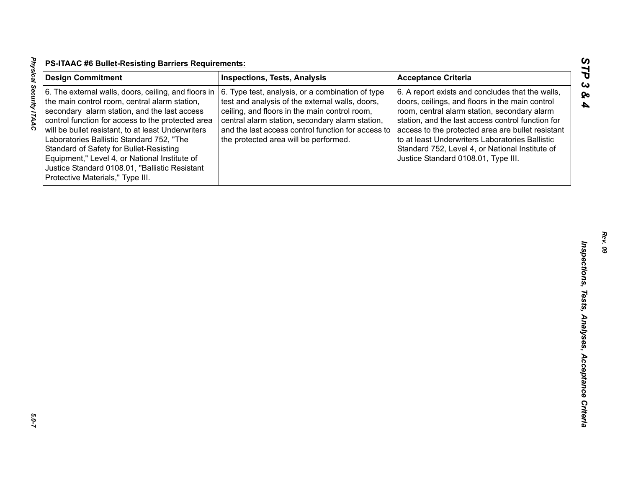| <b>Design Commitment</b>                                                                                                                                                                                                                                                                                                                                                                                                                                                                        | <b>Inspections, Tests, Analysis</b>                                                                                                                                                                                                                                                                    | <b>Acceptance Criteria</b>                                                                                                                                                                                                                                                                                                                                                                                 |
|-------------------------------------------------------------------------------------------------------------------------------------------------------------------------------------------------------------------------------------------------------------------------------------------------------------------------------------------------------------------------------------------------------------------------------------------------------------------------------------------------|--------------------------------------------------------------------------------------------------------------------------------------------------------------------------------------------------------------------------------------------------------------------------------------------------------|------------------------------------------------------------------------------------------------------------------------------------------------------------------------------------------------------------------------------------------------------------------------------------------------------------------------------------------------------------------------------------------------------------|
| 6. The external walls, doors, ceiling, and floors in<br>the main control room, central alarm station,<br>secondary alarm station, and the last access<br>control function for access to the protected area<br>will be bullet resistant, to at least Underwriters<br>Laboratories Ballistic Standard 752, "The<br>Standard of Safety for Bullet-Resisting<br>Equipment," Level 4, or National Institute of<br>Justice Standard 0108.01, "Ballistic Resistant<br>Protective Materials," Type III. | 6. Type test, analysis, or a combination of type<br>test and analysis of the external walls, doors,<br>ceiling, and floors in the main control room,<br>central alarm station, secondary alarm station,<br>and the last access control function for access to<br>the protected area will be performed. | 6. A report exists and concludes that the walls,<br>doors, ceilings, and floors in the main control<br>room, central alarm station, secondary alarm<br>station, and the last access control function for<br>access to the protected area are bullet resistant<br>to at least Underwriters Laboratories Ballistic<br>Standard 752, Level 4, or National Institute of<br>Justice Standard 0108.01, Type III. |
|                                                                                                                                                                                                                                                                                                                                                                                                                                                                                                 |                                                                                                                                                                                                                                                                                                        |                                                                                                                                                                                                                                                                                                                                                                                                            |
|                                                                                                                                                                                                                                                                                                                                                                                                                                                                                                 |                                                                                                                                                                                                                                                                                                        |                                                                                                                                                                                                                                                                                                                                                                                                            |
|                                                                                                                                                                                                                                                                                                                                                                                                                                                                                                 |                                                                                                                                                                                                                                                                                                        |                                                                                                                                                                                                                                                                                                                                                                                                            |
|                                                                                                                                                                                                                                                                                                                                                                                                                                                                                                 |                                                                                                                                                                                                                                                                                                        |                                                                                                                                                                                                                                                                                                                                                                                                            |
|                                                                                                                                                                                                                                                                                                                                                                                                                                                                                                 |                                                                                                                                                                                                                                                                                                        |                                                                                                                                                                                                                                                                                                                                                                                                            |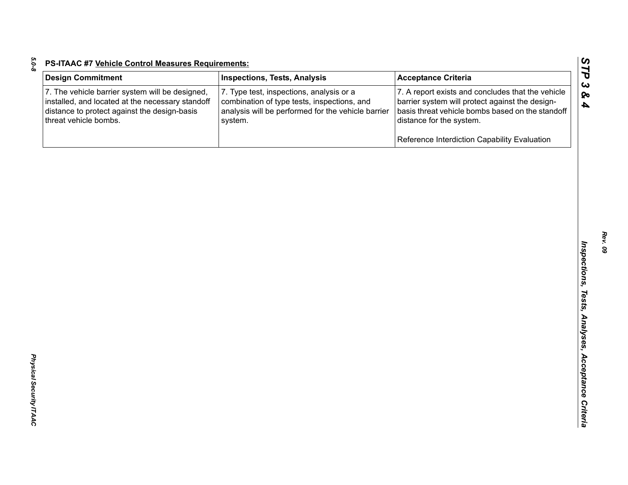| <b>Design Commitment</b>                                                                                                                                                     | <b>Inspections, Tests, Analysis</b>                                                                                                                      | <b>Acceptance Criteria</b>                                                                                                                                                           |
|------------------------------------------------------------------------------------------------------------------------------------------------------------------------------|----------------------------------------------------------------------------------------------------------------------------------------------------------|--------------------------------------------------------------------------------------------------------------------------------------------------------------------------------------|
| 7. The vehicle barrier system will be designed,<br>installed, and located at the necessary standoff<br>distance to protect against the design-basis<br>threat vehicle bombs. | 7. Type test, inspections, analysis or a<br>combination of type tests, inspections, and<br>analysis will be performed for the vehicle barrier<br>system. | 7. A report exists and concludes that the vehicle<br>barrier system will protect against the design-<br>basis threat vehicle bombs based on the standoff<br>distance for the system. |
|                                                                                                                                                                              |                                                                                                                                                          | Reference Interdiction Capability Evaluation                                                                                                                                         |
|                                                                                                                                                                              |                                                                                                                                                          |                                                                                                                                                                                      |
|                                                                                                                                                                              |                                                                                                                                                          |                                                                                                                                                                                      |
|                                                                                                                                                                              |                                                                                                                                                          |                                                                                                                                                                                      |
|                                                                                                                                                                              |                                                                                                                                                          |                                                                                                                                                                                      |
|                                                                                                                                                                              |                                                                                                                                                          |                                                                                                                                                                                      |
|                                                                                                                                                                              |                                                                                                                                                          |                                                                                                                                                                                      |
|                                                                                                                                                                              |                                                                                                                                                          |                                                                                                                                                                                      |
|                                                                                                                                                                              |                                                                                                                                                          |                                                                                                                                                                                      |
|                                                                                                                                                                              |                                                                                                                                                          |                                                                                                                                                                                      |
|                                                                                                                                                                              |                                                                                                                                                          |                                                                                                                                                                                      |
|                                                                                                                                                                              |                                                                                                                                                          |                                                                                                                                                                                      |

*5.0-8*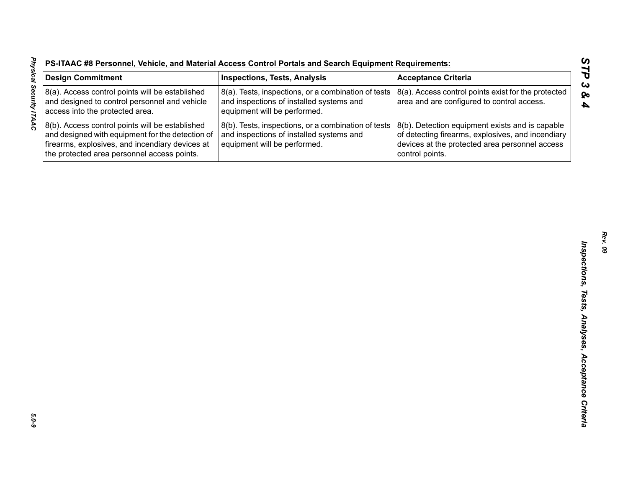| <b>PS-ITAAC #8 Personnel, Vehicle, and Material Access Control Portals and Search Equipment Requirements:</b> |  |  |  |
|---------------------------------------------------------------------------------------------------------------|--|--|--|
|                                                                                                               |  |  |  |

| <b>Design Commitment</b>                                                                                                                                                                              | <b>Inspections, Tests, Analysis</b>                                                                                             | <b>Acceptance Criteria</b>                                                                                                                                                |
|-------------------------------------------------------------------------------------------------------------------------------------------------------------------------------------------------------|---------------------------------------------------------------------------------------------------------------------------------|---------------------------------------------------------------------------------------------------------------------------------------------------------------------------|
| 8(a). Access control points will be established<br>and designed to control personnel and vehicle<br>access into the protected area.                                                                   | 8(a). Tests, inspections, or a combination of tests<br>and inspections of installed systems and<br>equipment will be performed. | 8(a). Access control points exist for the protected<br>area and are configured to control access.                                                                         |
| 8(b). Access control points will be established<br>and designed with equipment for the detection of<br>firearms, explosives, and incendiary devices at<br>the protected area personnel access points. | 8(b). Tests, inspections, or a combination of tests<br>and inspections of installed systems and<br>equipment will be performed. | 8(b). Detection equipment exists and is capable<br>of detecting firearms, explosives, and incendiary<br>devices at the protected area personnel access<br>control points. |
|                                                                                                                                                                                                       |                                                                                                                                 |                                                                                                                                                                           |
|                                                                                                                                                                                                       |                                                                                                                                 |                                                                                                                                                                           |
|                                                                                                                                                                                                       |                                                                                                                                 |                                                                                                                                                                           |
|                                                                                                                                                                                                       |                                                                                                                                 |                                                                                                                                                                           |
|                                                                                                                                                                                                       |                                                                                                                                 |                                                                                                                                                                           |
|                                                                                                                                                                                                       |                                                                                                                                 |                                                                                                                                                                           |
|                                                                                                                                                                                                       |                                                                                                                                 |                                                                                                                                                                           |
|                                                                                                                                                                                                       |                                                                                                                                 |                                                                                                                                                                           |
|                                                                                                                                                                                                       |                                                                                                                                 |                                                                                                                                                                           |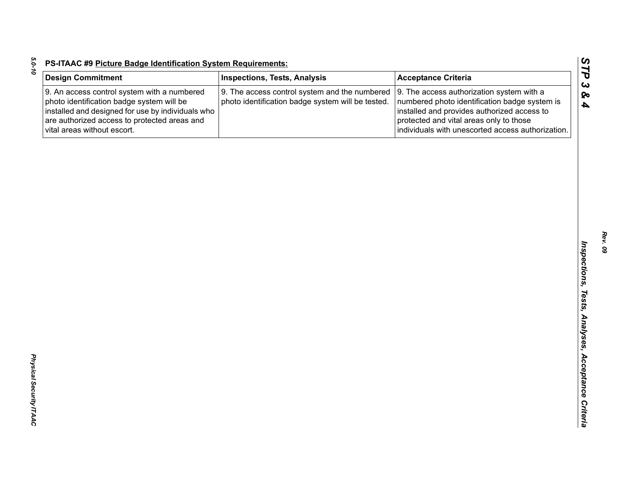| <b>Design Commitment</b>                                                                                                                                                                                                     | <b>Inspections, Tests, Analysis</b>                                                                | <b>Acceptance Criteria</b>                                                                                                                                                                                                                |
|------------------------------------------------------------------------------------------------------------------------------------------------------------------------------------------------------------------------------|----------------------------------------------------------------------------------------------------|-------------------------------------------------------------------------------------------------------------------------------------------------------------------------------------------------------------------------------------------|
| 9. An access control system with a numbered<br>photo identification badge system will be<br>installed and designed for use by individuals who<br>are authorized access to protected areas and<br>vital areas without escort. | 9. The access control system and the numbered<br>photo identification badge system will be tested. | 9. The access authorization system with a<br>numbered photo identification badge system is<br>installed and provides authorized access to<br>protected and vital areas only to those<br>individuals with unescorted access authorization. |
|                                                                                                                                                                                                                              |                                                                                                    |                                                                                                                                                                                                                                           |
|                                                                                                                                                                                                                              |                                                                                                    |                                                                                                                                                                                                                                           |
|                                                                                                                                                                                                                              |                                                                                                    |                                                                                                                                                                                                                                           |
|                                                                                                                                                                                                                              |                                                                                                    |                                                                                                                                                                                                                                           |
|                                                                                                                                                                                                                              |                                                                                                    |                                                                                                                                                                                                                                           |
|                                                                                                                                                                                                                              |                                                                                                    |                                                                                                                                                                                                                                           |
|                                                                                                                                                                                                                              |                                                                                                    |                                                                                                                                                                                                                                           |
|                                                                                                                                                                                                                              |                                                                                                    |                                                                                                                                                                                                                                           |
|                                                                                                                                                                                                                              |                                                                                                    |                                                                                                                                                                                                                                           |
|                                                                                                                                                                                                                              |                                                                                                    |                                                                                                                                                                                                                                           |
|                                                                                                                                                                                                                              |                                                                                                    |                                                                                                                                                                                                                                           |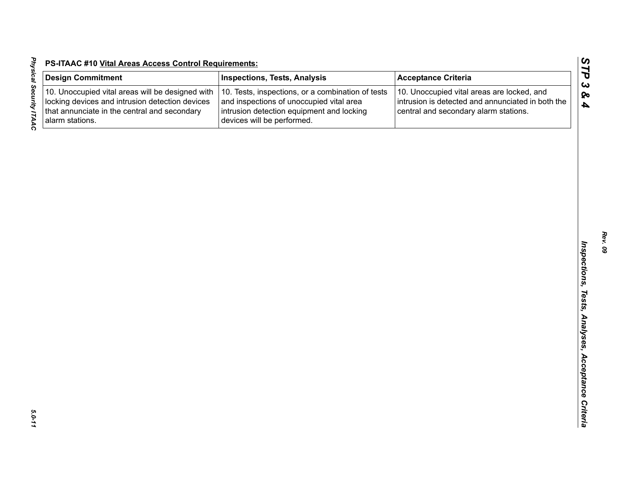| l<br>$\vdots$  |  |
|----------------|--|
|                |  |
|                |  |
|                |  |
| $\overline{1}$ |  |

| <b>Design Commitment</b>                                                                                                                                               | <b>Inspections, Tests, Analysis</b>                                                                                                                                      | <b>Acceptance Criteria</b>                                                                                                               |
|------------------------------------------------------------------------------------------------------------------------------------------------------------------------|--------------------------------------------------------------------------------------------------------------------------------------------------------------------------|------------------------------------------------------------------------------------------------------------------------------------------|
| 10. Unoccupied vital areas will be designed with<br>locking devices and intrusion detection devices<br>that annunciate in the central and secondary<br>alarm stations. | 10. Tests, inspections, or a combination of tests<br>and inspections of unoccupied vital area<br>intrusion detection equipment and locking<br>devices will be performed. | 10. Unoccupied vital areas are locked, and<br>intrusion is detected and annunciated in both the<br>central and secondary alarm stations. |
|                                                                                                                                                                        |                                                                                                                                                                          |                                                                                                                                          |
|                                                                                                                                                                        |                                                                                                                                                                          |                                                                                                                                          |
|                                                                                                                                                                        |                                                                                                                                                                          |                                                                                                                                          |
|                                                                                                                                                                        |                                                                                                                                                                          |                                                                                                                                          |
|                                                                                                                                                                        |                                                                                                                                                                          |                                                                                                                                          |
|                                                                                                                                                                        |                                                                                                                                                                          |                                                                                                                                          |
|                                                                                                                                                                        |                                                                                                                                                                          |                                                                                                                                          |
|                                                                                                                                                                        |                                                                                                                                                                          |                                                                                                                                          |
|                                                                                                                                                                        |                                                                                                                                                                          |                                                                                                                                          |
|                                                                                                                                                                        |                                                                                                                                                                          |                                                                                                                                          |
|                                                                                                                                                                        |                                                                                                                                                                          |                                                                                                                                          |
|                                                                                                                                                                        |                                                                                                                                                                          |                                                                                                                                          |
|                                                                                                                                                                        |                                                                                                                                                                          |                                                                                                                                          |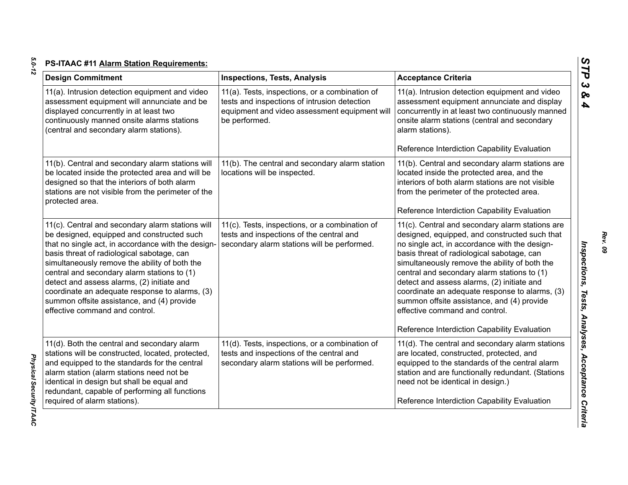| <b>Design Commitment</b>                                                                                                                                                                                                                                                                                                                                                                                                                                                           | <b>Inspections, Tests, Analysis</b>                                                                                                                              | <b>Acceptance Criteria</b>                                                                                                                                                                                                                                                                                                                                                                                                                                                                                                      |
|------------------------------------------------------------------------------------------------------------------------------------------------------------------------------------------------------------------------------------------------------------------------------------------------------------------------------------------------------------------------------------------------------------------------------------------------------------------------------------|------------------------------------------------------------------------------------------------------------------------------------------------------------------|---------------------------------------------------------------------------------------------------------------------------------------------------------------------------------------------------------------------------------------------------------------------------------------------------------------------------------------------------------------------------------------------------------------------------------------------------------------------------------------------------------------------------------|
| 11(a). Intrusion detection equipment and video<br>assessment equipment will annunciate and be<br>displayed concurrently in at least two<br>continuously manned onsite alarms stations<br>(central and secondary alarm stations).                                                                                                                                                                                                                                                   | 11(a). Tests, inspections, or a combination of<br>tests and inspections of intrusion detection<br>equipment and video assessment equipment will<br>be performed. | 11(a). Intrusion detection equipment and video<br>assessment equipment annunciate and display<br>concurrently in at least two continuously manned<br>onsite alarm stations (central and secondary<br>alarm stations).<br>Reference Interdiction Capability Evaluation                                                                                                                                                                                                                                                           |
| 11(b). Central and secondary alarm stations will<br>be located inside the protected area and will be<br>designed so that the interiors of both alarm<br>stations are not visible from the perimeter of the<br>protected area.                                                                                                                                                                                                                                                      | 11(b). The central and secondary alarm station<br>locations will be inspected.                                                                                   | 11(b). Central and secondary alarm stations are<br>located inside the protected area, and the<br>interiors of both alarm stations are not visible<br>from the perimeter of the protected area.<br>Reference Interdiction Capability Evaluation                                                                                                                                                                                                                                                                                  |
| 11(c). Central and secondary alarm stations will<br>be designed, equipped and constructed such<br>that no single act, in accordance with the design-<br>basis threat of radiological sabotage, can<br>simultaneously remove the ability of both the<br>central and secondary alarm stations to (1)<br>detect and assess alarms, (2) initiate and<br>coordinate an adequate response to alarms, (3)<br>summon offsite assistance, and (4) provide<br>effective command and control. | 11(c). Tests, inspections, or a combination of<br>tests and inspections of the central and<br>secondary alarm stations will be performed.                        | 11(c). Central and secondary alarm stations are<br>designed, equipped, and constructed such that<br>no single act, in accordance with the design-<br>basis threat of radiological sabotage, can<br>simultaneously remove the ability of both the<br>central and secondary alarm stations to (1)<br>detect and assess alarms, (2) initiate and<br>coordinate an adequate response to alarms, (3)<br>summon offsite assistance, and (4) provide<br>effective command and control.<br>Reference Interdiction Capability Evaluation |
| 11(d). Both the central and secondary alarm<br>stations will be constructed, located, protected,<br>and equipped to the standards for the central<br>alarm station (alarm stations need not be<br>identical in design but shall be equal and<br>redundant, capable of performing all functions<br>required of alarm stations).                                                                                                                                                     | 11(d). Tests, inspections, or a combination of<br>tests and inspections of the central and<br>secondary alarm stations will be performed.                        | 11(d). The central and secondary alarm stations<br>are located, constructed, protected, and<br>equipped to the standards of the central alarm<br>station and are functionally redundant. (Stations<br>need not be identical in design.)<br>Reference Interdiction Capability Evaluation                                                                                                                                                                                                                                         |

*Rev. 09*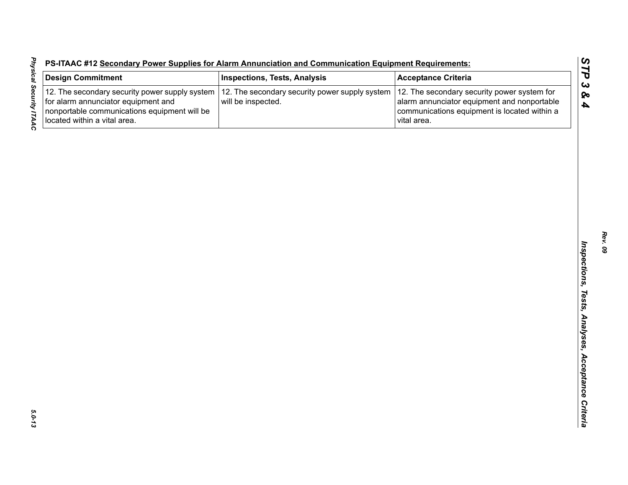|  | S-ITAAC #12 Secondary Power Supplies for Alarm Annunciation and Communication Equipment Requirements: |  |  |
|--|-------------------------------------------------------------------------------------------------------|--|--|
|  |                                                                                                       |  |  |

| <b>Design Commitment</b>                                                                                                                                              | <b>Inspections, Tests, Analysis</b>                                  | <b>Acceptance Criteria</b>                                                                                                                                |
|-----------------------------------------------------------------------------------------------------------------------------------------------------------------------|----------------------------------------------------------------------|-----------------------------------------------------------------------------------------------------------------------------------------------------------|
| 12. The secondary security power supply system<br>for alarm annunciator equipment and<br>nonportable communications equipment will be<br>located within a vital area. | 12. The secondary security power supply system<br>will be inspected. | 12. The secondary security power system for<br>alarm annunciator equipment and nonportable<br>communications equipment is located within a<br>vital area. |
|                                                                                                                                                                       |                                                                      |                                                                                                                                                           |
|                                                                                                                                                                       |                                                                      |                                                                                                                                                           |
|                                                                                                                                                                       |                                                                      |                                                                                                                                                           |
|                                                                                                                                                                       |                                                                      |                                                                                                                                                           |
|                                                                                                                                                                       |                                                                      |                                                                                                                                                           |
|                                                                                                                                                                       |                                                                      |                                                                                                                                                           |
|                                                                                                                                                                       |                                                                      |                                                                                                                                                           |
|                                                                                                                                                                       |                                                                      |                                                                                                                                                           |
|                                                                                                                                                                       |                                                                      |                                                                                                                                                           |
|                                                                                                                                                                       |                                                                      |                                                                                                                                                           |
|                                                                                                                                                                       |                                                                      |                                                                                                                                                           |
|                                                                                                                                                                       |                                                                      |                                                                                                                                                           |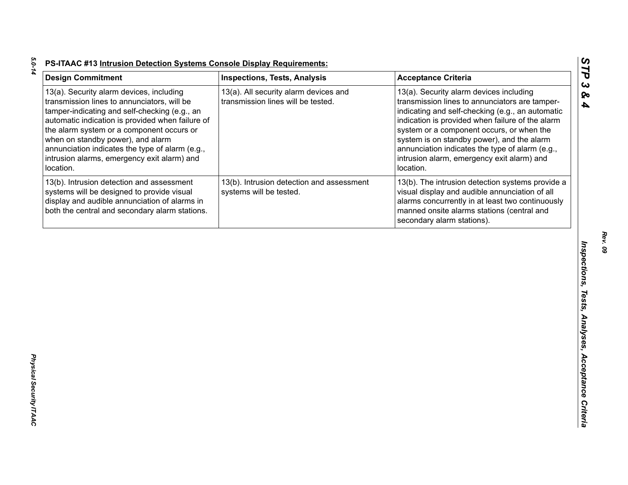| <b>Design Commitment</b>                                                                                                                                                                                                                                                                                                                                                                      | <b>Inspections, Tests, Analysis</b>                                         | <b>Acceptance Criteria</b>                                                                                                                                                                                                                                                                                                                                                                                 |
|-----------------------------------------------------------------------------------------------------------------------------------------------------------------------------------------------------------------------------------------------------------------------------------------------------------------------------------------------------------------------------------------------|-----------------------------------------------------------------------------|------------------------------------------------------------------------------------------------------------------------------------------------------------------------------------------------------------------------------------------------------------------------------------------------------------------------------------------------------------------------------------------------------------|
| 13(a). Security alarm devices, including<br>transmission lines to annunciators, will be<br>tamper-indicating and self-checking (e.g., an<br>automatic indication is provided when failure of<br>the alarm system or a component occurs or<br>when on standby power), and alarm<br>annunciation indicates the type of alarm (e.g.,<br>intrusion alarms, emergency exit alarm) and<br>location. | 13(a). All security alarm devices and<br>transmission lines will be tested. | 13(a). Security alarm devices including<br>transmission lines to annunciators are tamper-<br>indicating and self-checking (e.g., an automatic<br>indication is provided when failure of the alarm<br>system or a component occurs, or when the<br>system is on standby power), and the alarm<br>annunciation indicates the type of alarm (e.g.,<br>intrusion alarm, emergency exit alarm) and<br>location. |
| 13(b). Intrusion detection and assessment<br>systems will be designed to provide visual<br>display and audible annunciation of alarms in<br>both the central and secondary alarm stations.                                                                                                                                                                                                    | 13(b). Intrusion detection and assessment<br>systems will be tested.        | 13(b). The intrusion detection systems provide a<br>visual display and audible annunciation of all<br>alarms concurrently in at least two continuously<br>manned onsite alarms stations (central and<br>secondary alarm stations).                                                                                                                                                                         |
|                                                                                                                                                                                                                                                                                                                                                                                               |                                                                             |                                                                                                                                                                                                                                                                                                                                                                                                            |
|                                                                                                                                                                                                                                                                                                                                                                                               |                                                                             |                                                                                                                                                                                                                                                                                                                                                                                                            |
|                                                                                                                                                                                                                                                                                                                                                                                               |                                                                             |                                                                                                                                                                                                                                                                                                                                                                                                            |
|                                                                                                                                                                                                                                                                                                                                                                                               |                                                                             |                                                                                                                                                                                                                                                                                                                                                                                                            |
|                                                                                                                                                                                                                                                                                                                                                                                               |                                                                             |                                                                                                                                                                                                                                                                                                                                                                                                            |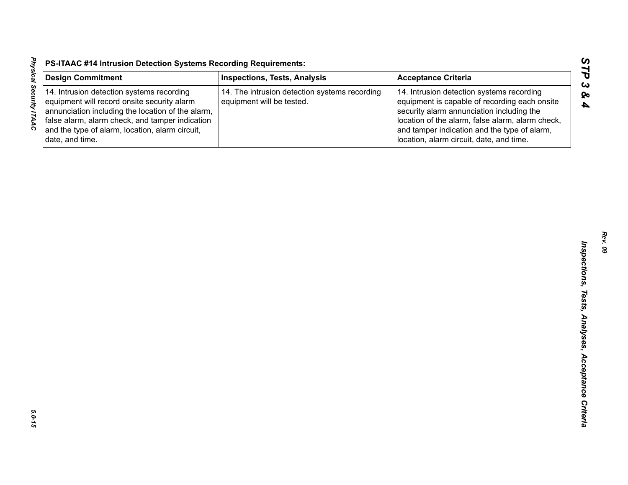| <b>Design Commitment</b>                                                                                                                                                                                                                                               | <b>Inspections, Tests, Analysis</b>                                        | <b>Acceptance Criteria</b>                                                                                                                                                                                                                                                              |
|------------------------------------------------------------------------------------------------------------------------------------------------------------------------------------------------------------------------------------------------------------------------|----------------------------------------------------------------------------|-----------------------------------------------------------------------------------------------------------------------------------------------------------------------------------------------------------------------------------------------------------------------------------------|
| 14. Intrusion detection systems recording<br>equipment will record onsite security alarm<br>annunciation including the location of the alarm,<br>false alarm, alarm check, and tamper indication<br>and the type of alarm, location, alarm circuit,<br>date, and time. | 14. The intrusion detection systems recording<br>equipment will be tested. | 14. Intrusion detection systems recording<br>equipment is capable of recording each onsite<br>security alarm annunciation including the<br>location of the alarm, false alarm, alarm check,<br>and tamper indication and the type of alarm,<br>location, alarm circuit, date, and time. |
|                                                                                                                                                                                                                                                                        |                                                                            |                                                                                                                                                                                                                                                                                         |
|                                                                                                                                                                                                                                                                        |                                                                            |                                                                                                                                                                                                                                                                                         |
|                                                                                                                                                                                                                                                                        |                                                                            |                                                                                                                                                                                                                                                                                         |
|                                                                                                                                                                                                                                                                        |                                                                            |                                                                                                                                                                                                                                                                                         |
|                                                                                                                                                                                                                                                                        |                                                                            |                                                                                                                                                                                                                                                                                         |
|                                                                                                                                                                                                                                                                        |                                                                            |                                                                                                                                                                                                                                                                                         |
|                                                                                                                                                                                                                                                                        |                                                                            |                                                                                                                                                                                                                                                                                         |
|                                                                                                                                                                                                                                                                        |                                                                            |                                                                                                                                                                                                                                                                                         |
|                                                                                                                                                                                                                                                                        |                                                                            |                                                                                                                                                                                                                                                                                         |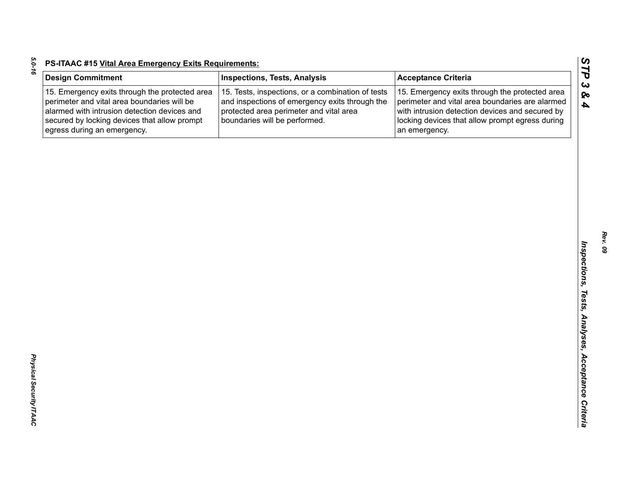| c |
|---|
|   |
|   |
|   |
|   |
|   |

| <b>Design Commitment</b>                                                                                                                                                                                                     | <b>Inspections, Tests, Analysis</b>                                                                                                                                             | <b>Acceptance Criteria</b>                                                                                                                                                                                               |
|------------------------------------------------------------------------------------------------------------------------------------------------------------------------------------------------------------------------------|---------------------------------------------------------------------------------------------------------------------------------------------------------------------------------|--------------------------------------------------------------------------------------------------------------------------------------------------------------------------------------------------------------------------|
| 15. Emergency exits through the protected area<br>perimeter and vital area boundaries will be<br>alarmed with intrusion detection devices and<br>secured by locking devices that allow prompt<br>egress during an emergency. | 15. Tests, inspections, or a combination of tests<br>and inspections of emergency exits through the<br>protected area perimeter and vital area<br>boundaries will be performed. | 15. Emergency exits through the protected area<br>perimeter and vital area boundaries are alarmed<br>with intrusion detection devices and secured by<br>locking devices that allow prompt egress during<br>an emergency. |
|                                                                                                                                                                                                                              |                                                                                                                                                                                 |                                                                                                                                                                                                                          |
|                                                                                                                                                                                                                              |                                                                                                                                                                                 |                                                                                                                                                                                                                          |
|                                                                                                                                                                                                                              |                                                                                                                                                                                 |                                                                                                                                                                                                                          |
|                                                                                                                                                                                                                              |                                                                                                                                                                                 |                                                                                                                                                                                                                          |
|                                                                                                                                                                                                                              |                                                                                                                                                                                 |                                                                                                                                                                                                                          |
|                                                                                                                                                                                                                              |                                                                                                                                                                                 |                                                                                                                                                                                                                          |
|                                                                                                                                                                                                                              |                                                                                                                                                                                 |                                                                                                                                                                                                                          |
|                                                                                                                                                                                                                              |                                                                                                                                                                                 |                                                                                                                                                                                                                          |
|                                                                                                                                                                                                                              |                                                                                                                                                                                 |                                                                                                                                                                                                                          |
|                                                                                                                                                                                                                              |                                                                                                                                                                                 |                                                                                                                                                                                                                          |
|                                                                                                                                                                                                                              |                                                                                                                                                                                 |                                                                                                                                                                                                                          |
|                                                                                                                                                                                                                              |                                                                                                                                                                                 |                                                                                                                                                                                                                          |
|                                                                                                                                                                                                                              |                                                                                                                                                                                 |                                                                                                                                                                                                                          |